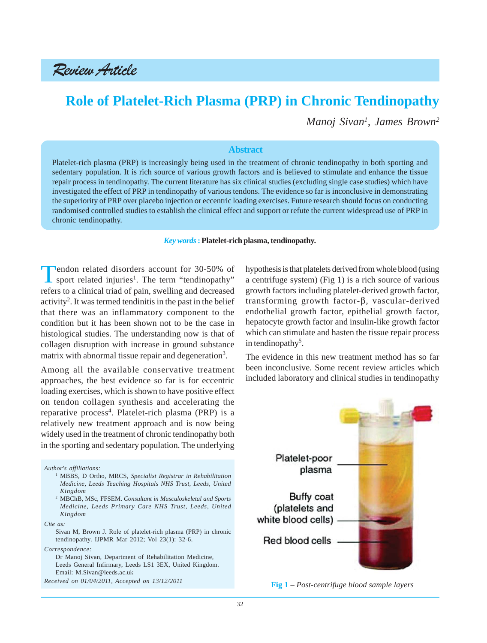Review Article

# **Role of Platelet-Rich Plasma (PRP) in Chronic Tendinopathy**

*Manoj Sivan1 , James Brown2*

#### **Abstract**

Platelet-rich plasma (PRP) is increasingly being used in the treatment of chronic tendinopathy in both sporting and sedentary population. It is rich source of various growth factors and is believed to stimulate and enhance the tissue repair process in tendinopathy. The current literature has six clinical studies (excluding single case studies) which have investigated the effect of PRP in tendinopathy of various tendons. The evidence so far is inconclusive in demonstrating the superiority of PRP over placebo injection or eccentric loading exercises. Future research should focus on conducting randomised controlled studies to establish the clinical effect and support or refute the current widespread use of PRP in chronic tendinopathy.

#### *Key words* **: Platelet-rich plasma, tendinopathy.**

Tendon related disorders account for 30-50% of sport related injuries<sup>1</sup>. The term "tendinopathy" refers to a clinical triad of pain, swelling and decreased activity<sup>2</sup>. It was termed tendinitis in the past in the belief that there was an inflammatory component to the condition but it has been shown not to be the case in histological studies. The understanding now is that of collagen disruption with increase in ground substance matrix with abnormal tissue repair and degeneration<sup>3</sup>.

Among all the available conservative treatment approaches, the best evidence so far is for eccentric loading exercises, which is shown to have positive effect on tendon collagen synthesis and accelerating the reparative process<sup>4</sup>. Platelet-rich plasma (PRP) is a relatively new treatment approach and is now being widely used in the treatment of chronic tendinopathy both in the sporting and sedentary population. The underlying

*Author's affiliations:*

- <sup>1</sup> MBBS, D Ortho, MRCS, *Specialist Registrar in Rehabilitation Medicine, Leeds Teaching Hospitals NHS Trust, Leeds, United Kingdom*
- <sup>2</sup> MBChB, MSc, FFSEM. *Consultant in Musculoskeletal and Sports Medicine, Leeds Primary Care NHS Trust, Leeds, United Kingdom*

*Cite as:*

*Correspondence:*

*Received on 01/04/2011, Accepted on 13/12/2011*

hypothesis is that platelets derived from whole blood (using a centrifuge system) (Fig 1) is a rich source of various growth factors including platelet-derived growth factor, transforming growth factor-β, vascular-derived endothelial growth factor, epithelial growth factor, hepatocyte growth factor and insulin-like growth factor which can stimulate and hasten the tissue repair process in tendinopathy<sup>5</sup>.

The evidence in this new treatment method has so far been inconclusive. Some recent review articles which included laboratory and clinical studies in tendinopathy



**Fig 1** – *Post-centrifuge blood sample layers*

Sivan M, Brown J. Role of platelet-rich plasma (PRP) in chronic tendinopathy. IJPMR Mar 2012; Vol 23(1): 32-6.

Dr Manoj Sivan, Department of Rehabilitation Medicine, Leeds General Infirmary, Leeds LS1 3EX, United Kingdom. Email: M.Sivan@leeds.ac.uk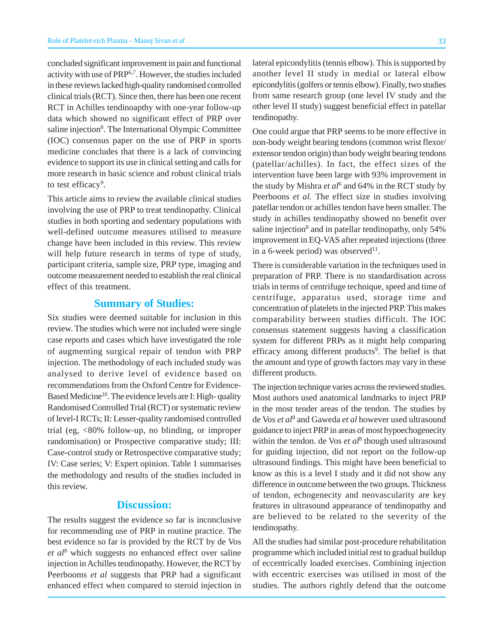concluded significant improvement in pain and functional activity with use of PRP6,7. However, the studies included in these reviews lacked high-quality randomised controlled clinical trials (RCT). Since then, there has been one recent RCT in Achilles tendinoapthy with one-year follow-up data which showed no significant effect of PRP over saline injection<sup>8</sup>. The International Olympic Committee (IOC) consensus paper on the use of PRP in sports medicine concludes that there is a lack of convincing evidence to support its use in clinical setting and calls for more research in basic science and robust clinical trials to test efficacy<sup>9</sup>.

This article aims to review the available clinical studies involving the use of PRP to treat tendinopathy. Clinical studies in both sporting and sedentary populations with well-defined outcome measures utilised to measure change have been included in this review. This review will help future research in terms of type of study, participant criteria, sample size, PRP type, imaging and outcome measurement needed to establish the real clinical effect of this treatment.

### **Summary of Studies:**

Six studies were deemed suitable for inclusion in this review. The studies which were not included were single case reports and cases which have investigated the role of augmenting surgical repair of tendon with PRP injection. The methodology of each included study was analysed to derive level of evidence based on recommendations from the Oxford Centre for Evidence-Based Medicine<sup>10</sup>. The evidence levels are I: High-quality Randomised Controlled Trial (RCT) or systematic review of level-I RCTs; II: Lesser-quality randomised controlled trial (eg, <80% follow-up, no blinding, or improper randomisation) or Prospective comparative study; III: Case-control study or Retrospective comparative study; IV: Case series; V: Expert opinion. Table 1 summarises the methodology and results of the studies included in this review.

# **Discussion:**

The results suggest the evidence so far is inconclusive for recommending use of PRP in routine practice. The best evidence so far is provided by the RCT by de Vos *et al*<sup>8</sup> which suggests no enhanced effect over saline injection in Achilles tendinopathy. However, the RCT by Peerbooms *et al* suggests that PRP had a significant enhanced effect when compared to steroid injection in lateral epicondylitis (tennis elbow). This is supported by another level II study in medial or lateral elbow epicondylitis (golfers or tennis elbow). Finally, two studies from same research group (one level IV study and the other level II study) suggest beneficial effect in patellar tendinopathy.

One could argue that PRP seems to be more effective in non-body weight bearing tendons (common wrist flexor/ extensor tendon origin) than body weight bearing tendons (patellar/achilles). In fact, the effect sizes of the intervention have been large with 93% improvement in the study by Mishra *et al*<sup>6</sup> and 64% in the RCT study by Peerboons *et al.* The effect size in studies involving patellar tendon or achilles tendon have been smaller. The study in achilles tendinopathy showed no benefit over saline injection<sup>8</sup> and in patellar tendinopathy, only 54% improvement in EQ-VAS after repeated injections (three in a 6-week period) was observed $11$ .

There is considerable variation in the techniques used in preparation of PRP. There is no standardisation across trials in terms of centrifuge technique, speed and time of centrifuge, apparatus used, storage time and concentration of platelets in the injected PRP. This makes comparability between studies difficult. The IOC consensus statement suggests having a classification system for different PRPs as it might help comparing efficacy among different products<sup>9</sup>. The belief is that the amount and type of growth factors may vary in these different products.

The injection technique varies across the reviewed studies. Most authors used anatomical landmarks to inject PRP in the most tender areas of the tendon. The studies by de Vos *et al*<sup>8</sup> and Gaweda *et al* however used ultrasound guidance to inject PRP in areas of most hypoechogenecity within the tendon. de Vos *et al*<sup>8</sup> though used ultrasound for guiding injection, did not report on the follow-up ultrasound findings. This might have been beneficial to know as this is a level I study and it did not show any difference in outcome between the two groups. Thickness of tendon, echogenecity and neovascularity are key features in ultrasound appearance of tendinopathy and are believed to be related to the severity of the tendinopathy.

All the studies had similar post-procedure rehabilitation programme which included initial rest to gradual buildup of eccentrically loaded exercises. Combining injection with eccentric exercises was utilised in most of the studies. The authors rightly defend that the outcome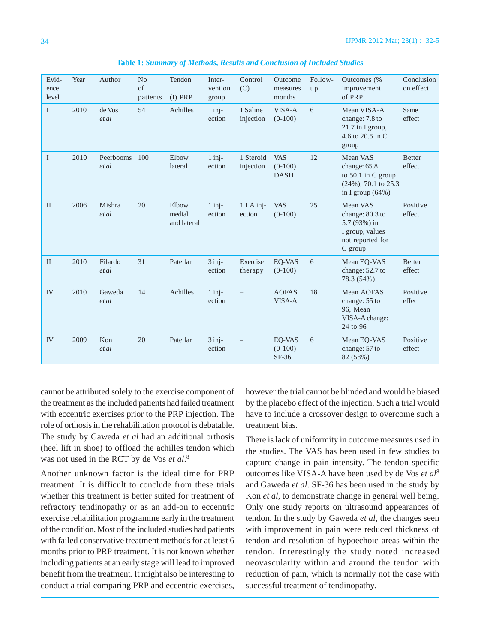| Evid-<br>ence<br>level | Year | Author             | N <sub>o</sub><br>of<br>patients | Tendon<br>$(I)$ PRP            | Inter-<br>vention<br>group | Control<br>(C)         | Outcome<br>measures<br>months          | Follow-<br>up | Outcomes (%<br>improvement<br>of PRP                                                              | Conclusion<br>on effect |
|------------------------|------|--------------------|----------------------------------|--------------------------------|----------------------------|------------------------|----------------------------------------|---------------|---------------------------------------------------------------------------------------------------|-------------------------|
| $\mathbf I$            | 2010 | de Vos<br>et al    | 54                               | Achilles                       | $1$ inj-<br>ection         | 1 Saline<br>injection  | VISA-A<br>$(0-100)$                    | 6             | Mean VISA-A<br>change: 7.8 to<br>21.7 in I group,<br>4.6 to 20.5 in C<br>group                    | Same<br>effect          |
| $\bf{I}$               | 2010 | Peerbooms<br>et al | 100                              | Elbow<br>lateral               | $1$ inj-<br>ection         | 1 Steroid<br>injection | <b>VAS</b><br>$(0-100)$<br><b>DASH</b> | 12            | Mean VAS<br>change: 65.8<br>to $50.1$ in C group<br>$(24\%)$ , 70.1 to 25.3<br>in I group $(64%)$ | <b>Better</b><br>effect |
| $\mathbf{I}$           | 2006 | Mishra<br>et al    | 20                               | Elbow<br>medial<br>and lateral | $1$ inj-<br>ection         | $1$ LA inj-<br>ection  | <b>VAS</b><br>$(0-100)$                | 25            | Mean VAS<br>change: 80.3 to<br>5.7 (93%) in<br>I group, values<br>not reported for<br>C group     | Positive<br>effect      |
| $\mathbf{I}$           | 2010 | Filardo<br>et al   | 31                               | Patellar                       | $3$ inj-<br>ection         | Exercise<br>therapy    | EO-VAS<br>$(0-100)$                    | 6             | Mean EQ-VAS<br>change: 52.7 to<br>78.3 (54%)                                                      | <b>Better</b><br>effect |
| <b>IV</b>              | 2010 | Gaweda<br>et al    | 14                               | Achilles                       | $1$ inj-<br>ection         |                        | <b>AOFAS</b><br>VISA-A                 | 18            | Mean AOFAS<br>change: 55 to<br>96, Mean<br>VISA-A change:<br>24 to 96                             | Positive<br>effect      |
| <b>IV</b>              | 2009 | Kon<br>et al       | 20                               | Patellar                       | $3$ inj-<br>ection         |                        | EQ-VAS<br>$(0-100)$<br>$SF-36$         | 6             | Mean EQ-VAS<br>change: 57 to<br>82 (58%)                                                          | Positive<br>effect      |

**Table 1:** *Summary of Methods, Results and Conclusion of Included Studies*

cannot be attributed solely to the exercise component of the treatment as the included patients had failed treatment with eccentric exercises prior to the PRP injection. The role of orthosis in the rehabilitation protocol is debatable. The study by Gaweda *et al* had an additional orthosis (heel lift in shoe) to offload the achilles tendon which was not used in the RCT by de Vos *et al*. 8

Another unknown factor is the ideal time for PRP treatment. It is difficult to conclude from these trials whether this treatment is better suited for treatment of refractory tendinopathy or as an add-on to eccentric exercise rehabilitation programme early in the treatment of the condition. Most of the included studies had patients with failed conservative treatment methods for at least 6 months prior to PRP treatment. It is not known whether including patients at an early stage will lead to improved benefit from the treatment. It might also be interesting to conduct a trial comparing PRP and eccentric exercises,

however the trial cannot be blinded and would be biased by the placebo effect of the injection. Such a trial would have to include a crossover design to overcome such a treatment bias.

There is lack of uniformity in outcome measures used in the studies. The VAS has been used in few studies to capture change in pain intensity. The tendon specific outcomes like VISA-A have been used by de Vos *et al*<sup>8</sup> and Gaweda *et al*. SF-36 has been used in the study by Kon *et al*, to demonstrate change in general well being. Only one study reports on ultrasound appearances of tendon. In the study by Gaweda *et al*, the changes seen with improvement in pain were reduced thickness of tendon and resolution of hypoechoic areas within the tendon. Interestingly the study noted increased neovascularity within and around the tendon with reduction of pain, which is normally not the case with successful treatment of tendinopathy.